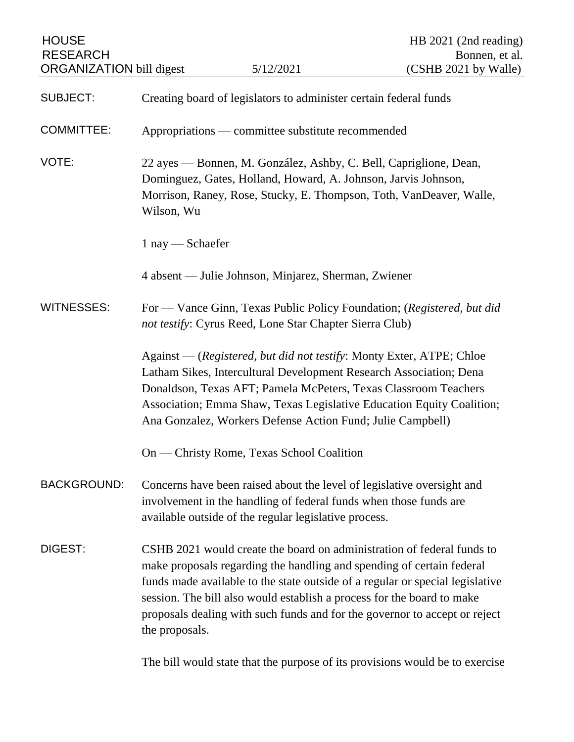| <b>HOUSE</b><br><b>RESEARCH</b><br><b>ORGANIZATION</b> bill digest |                                                                                                                                                                                                                                                                                                                                                      | 5/12/2021                                                                                                                                                                                                                 | HB 2021 (2nd reading)<br>Bonnen, et al.<br>(CSHB 2021 by Walle)                                                                                             |
|--------------------------------------------------------------------|------------------------------------------------------------------------------------------------------------------------------------------------------------------------------------------------------------------------------------------------------------------------------------------------------------------------------------------------------|---------------------------------------------------------------------------------------------------------------------------------------------------------------------------------------------------------------------------|-------------------------------------------------------------------------------------------------------------------------------------------------------------|
| <b>SUBJECT:</b>                                                    | Creating board of legislators to administer certain federal funds                                                                                                                                                                                                                                                                                    |                                                                                                                                                                                                                           |                                                                                                                                                             |
| <b>COMMITTEE:</b>                                                  | Appropriations — committee substitute recommended                                                                                                                                                                                                                                                                                                    |                                                                                                                                                                                                                           |                                                                                                                                                             |
| VOTE:                                                              | 22 ayes — Bonnen, M. González, Ashby, C. Bell, Capriglione, Dean,<br>Dominguez, Gates, Holland, Howard, A. Johnson, Jarvis Johnson,<br>Morrison, Raney, Rose, Stucky, E. Thompson, Toth, VanDeaver, Walle,<br>Wilson, Wu                                                                                                                             |                                                                                                                                                                                                                           |                                                                                                                                                             |
|                                                                    | $1$ nay $-$ Schaefer                                                                                                                                                                                                                                                                                                                                 |                                                                                                                                                                                                                           |                                                                                                                                                             |
|                                                                    |                                                                                                                                                                                                                                                                                                                                                      | 4 absent — Julie Johnson, Minjarez, Sherman, Zwiener                                                                                                                                                                      |                                                                                                                                                             |
| WITNESSES:                                                         | For — Vance Ginn, Texas Public Policy Foundation; (Registered, but did<br>not testify: Cyrus Reed, Lone Star Chapter Sierra Club)                                                                                                                                                                                                                    |                                                                                                                                                                                                                           |                                                                                                                                                             |
|                                                                    | Against — (Registered, but did not testify: Monty Exter, ATPE; Chloe<br>Latham Sikes, Intercultural Development Research Association; Dena<br>Donaldson, Texas AFT; Pamela McPeters, Texas Classroom Teachers<br>Association; Emma Shaw, Texas Legislative Education Equity Coalition;<br>Ana Gonzalez, Workers Defense Action Fund; Julie Campbell) |                                                                                                                                                                                                                           |                                                                                                                                                             |
|                                                                    | On — Christy Rome, Texas School Coalition                                                                                                                                                                                                                                                                                                            |                                                                                                                                                                                                                           |                                                                                                                                                             |
| <b>BACKGROUND:</b>                                                 | Concerns have been raised about the level of legislative oversight and<br>involvement in the handling of federal funds when those funds are<br>available outside of the regular legislative process.                                                                                                                                                 |                                                                                                                                                                                                                           |                                                                                                                                                             |
| DIGEST:                                                            | the proposals.                                                                                                                                                                                                                                                                                                                                       | CSHB 2021 would create the board on administration of federal funds to<br>make proposals regarding the handling and spending of certain federal<br>session. The bill also would establish a process for the board to make | funds made available to the state outside of a regular or special legislative<br>proposals dealing with such funds and for the governor to accept or reject |
|                                                                    |                                                                                                                                                                                                                                                                                                                                                      |                                                                                                                                                                                                                           | The bill would state that the purpose of its provisions would be to exercise                                                                                |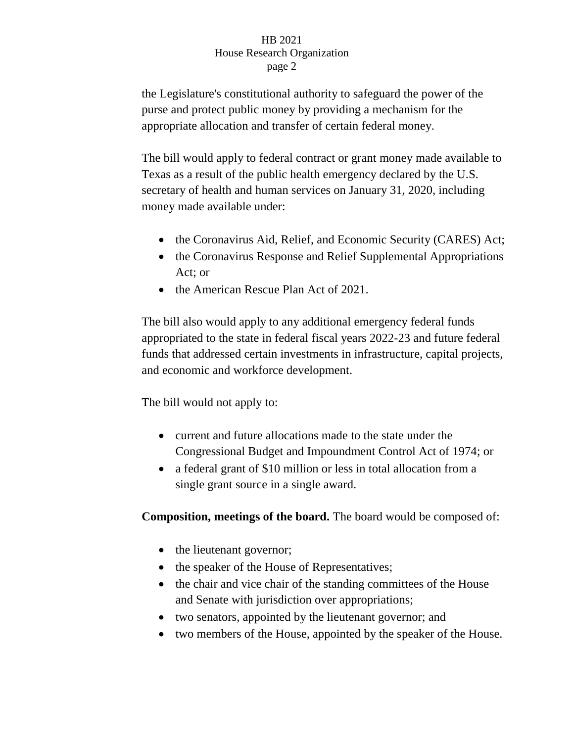the Legislature's constitutional authority to safeguard the power of the purse and protect public money by providing a mechanism for the appropriate allocation and transfer of certain federal money.

The bill would apply to federal contract or grant money made available to Texas as a result of the public health emergency declared by the U.S. secretary of health and human services on January 31, 2020, including money made available under:

- the Coronavirus Aid, Relief, and Economic Security (CARES) Act;
- the Coronavirus Response and Relief Supplemental Appropriations Act; or
- the American Rescue Plan Act of 2021.

The bill also would apply to any additional emergency federal funds appropriated to the state in federal fiscal years 2022-23 and future federal funds that addressed certain investments in infrastructure, capital projects, and economic and workforce development.

The bill would not apply to:

- current and future allocations made to the state under the Congressional Budget and Impoundment Control Act of 1974; or
- a federal grant of \$10 million or less in total allocation from a single grant source in a single award.

**Composition, meetings of the board.** The board would be composed of:

- the lieutenant governor;
- the speaker of the House of Representatives;
- the chair and vice chair of the standing committees of the House and Senate with jurisdiction over appropriations;
- two senators, appointed by the lieutenant governor; and
- two members of the House, appointed by the speaker of the House.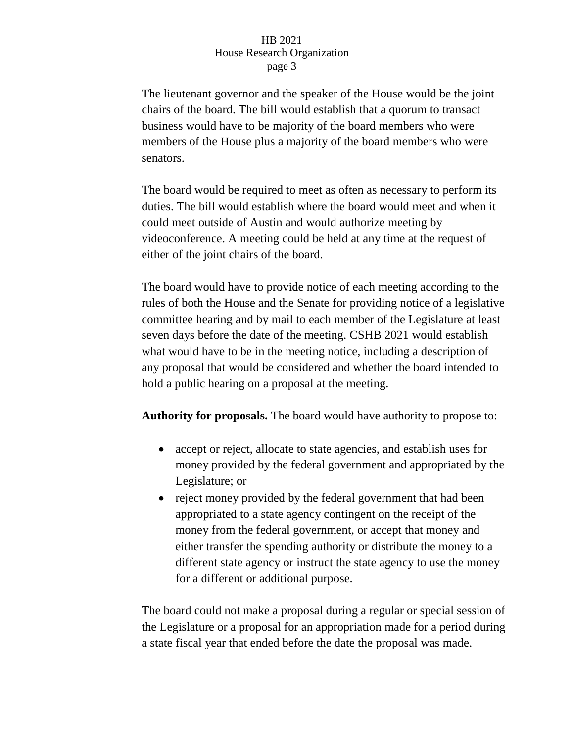The lieutenant governor and the speaker of the House would be the joint chairs of the board. The bill would establish that a quorum to transact business would have to be majority of the board members who were members of the House plus a majority of the board members who were senators.

The board would be required to meet as often as necessary to perform its duties. The bill would establish where the board would meet and when it could meet outside of Austin and would authorize meeting by videoconference. A meeting could be held at any time at the request of either of the joint chairs of the board.

The board would have to provide notice of each meeting according to the rules of both the House and the Senate for providing notice of a legislative committee hearing and by mail to each member of the Legislature at least seven days before the date of the meeting. CSHB 2021 would establish what would have to be in the meeting notice, including a description of any proposal that would be considered and whether the board intended to hold a public hearing on a proposal at the meeting.

**Authority for proposals.** The board would have authority to propose to:

- accept or reject, allocate to state agencies, and establish uses for money provided by the federal government and appropriated by the Legislature; or
- reject money provided by the federal government that had been appropriated to a state agency contingent on the receipt of the money from the federal government, or accept that money and either transfer the spending authority or distribute the money to a different state agency or instruct the state agency to use the money for a different or additional purpose.

The board could not make a proposal during a regular or special session of the Legislature or a proposal for an appropriation made for a period during a state fiscal year that ended before the date the proposal was made.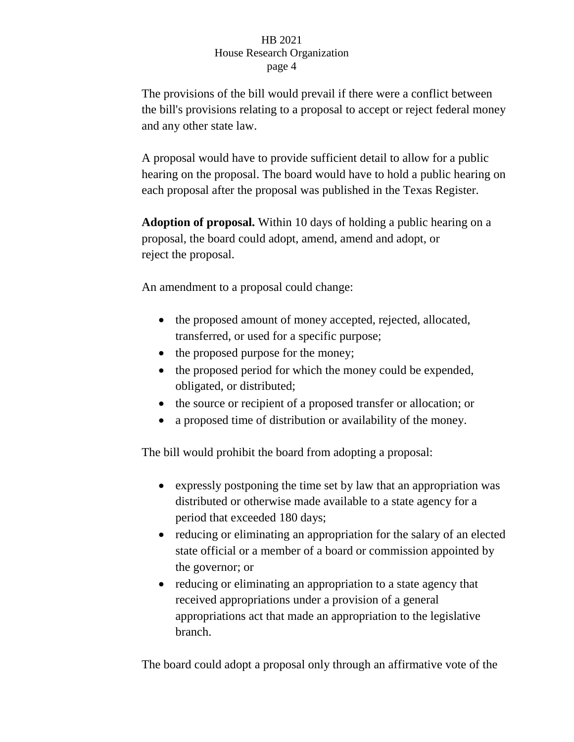The provisions of the bill would prevail if there were a conflict between the bill's provisions relating to a proposal to accept or reject federal money and any other state law.

A proposal would have to provide sufficient detail to allow for a public hearing on the proposal. The board would have to hold a public hearing on each proposal after the proposal was published in the Texas Register.

**Adoption of proposal.** Within 10 days of holding a public hearing on a proposal, the board could adopt, amend, amend and adopt, or reject the proposal.

An amendment to a proposal could change:

- the proposed amount of money accepted, rejected, allocated, transferred, or used for a specific purpose;
- the proposed purpose for the money;
- the proposed period for which the money could be expended, obligated, or distributed;
- the source or recipient of a proposed transfer or allocation; or
- a proposed time of distribution or availability of the money.

The bill would prohibit the board from adopting a proposal:

- expressly postponing the time set by law that an appropriation was distributed or otherwise made available to a state agency for a period that exceeded 180 days;
- reducing or eliminating an appropriation for the salary of an elected state official or a member of a board or commission appointed by the governor; or
- reducing or eliminating an appropriation to a state agency that received appropriations under a provision of a general appropriations act that made an appropriation to the legislative branch.

The board could adopt a proposal only through an affirmative vote of the